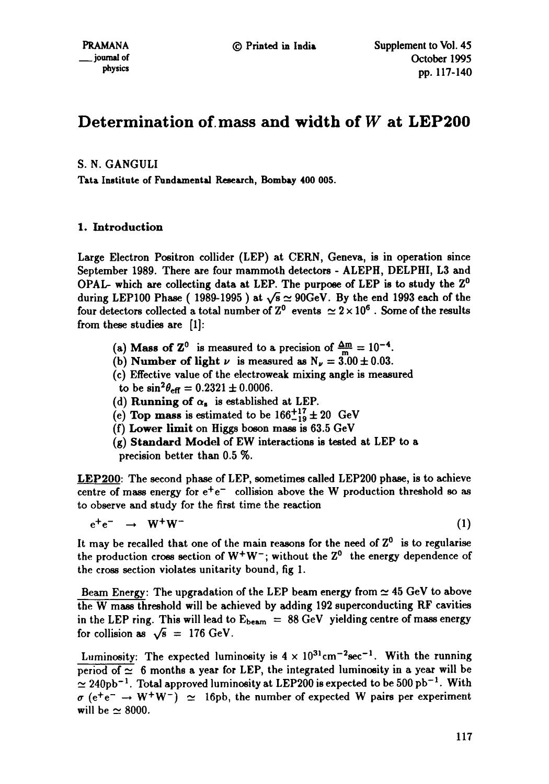# **Determination of.mass and width of W at LEP200**

# S. N. GANGULI

Tata Institute of Fundamental Research, Bombay **400 005.** 

# 1. Introduction

Large Electron Positron collider (LEP) at CERN, Geneva, is in operation since September 1989. There are four mammoth detectors - ALEPH, DELPHI, L3 and OPAL- which are collecting data at LEP. The purpose of LEP is to study the  $Z^0$ during LEP100 Phase (1989-1995) at  $\sqrt{s} \simeq 90$ GeV. By the end 1993 each of the four detectors collected a total number of  $Z^0$  events  $\simeq 2 \times 10^6$  . Some of the results from these studies are [1]:

- (a) Mass of  $\mathbb{Z}^0$  is measured to a precision of  $\frac{\Delta m}{m} = 10^{-4}$ .
- (b) Number of light  $\nu$  is measured as  $N_{\nu} = 3.00 \pm 0.03$ .
- (c) Effective value of the electroweak mixing angle is measured
- to be  $\sin^2\theta_{\text{eff}} = 0.2321 \pm 0.0006$ .
- (d) Running of  $\alpha_{s}$  is established at LEP.
- (e) Top mass is estimated to be  $166^{+17}_{-19} \pm 20$  GeV
- (f) Lower limit on Higgs boson mass is 63.5 GeV
- (g) Standard Model of EW interactions is tested at LEP to a precision better than 0.5 %.

LEP200: The second phase of LEP, sometimes called LEP200 phase, is to achieve centre of mass energy for  $e^+e^-$  collision above the W production threshold so as to observe and study for the first time the reaction

 $e^+e^- \rightarrow W^+W^-$  (1)

It may be recalled that one of the main reasons for the need of  $Z^0$  is to regularise the production cross section of  $W^+W^-$ ; without the  $Z^0$  the energy dependence of the cross section violates unitarity bound, fig 1.

Beam Energy: The upgradation of the LEP beam energy from  $\simeq 45$  GeV to above the W mass threshold will be achieved by adding 192 superconducting RF cavities in the LEP ring. This will lead to  $E_{beam} = 88 \text{ GeV}$  yielding centre of mass energy for collision as  $\sqrt{s} = 176 \text{ GeV}$ .

Luminosity: The expected luminosity is  $4 \times 10^{31} \text{cm}^{-2} \text{sec}^{-1}$ . With the running period of  $\simeq$  6 months a year for LEP, the integrated luminosity in a year will be  $\simeq 240 \text{pb}^{-1}$ . Total approved luminosity at LEP200 is expected to be 500 pb<sup>-1</sup>. With  $\sigma$  (e<sup>+</sup>e<sup>-</sup>  $\rightarrow$  W<sup>+</sup>W<sup>-</sup>)  $\simeq$  16pb, the number of expected W pairs per experiment will be  $\simeq 8000$ .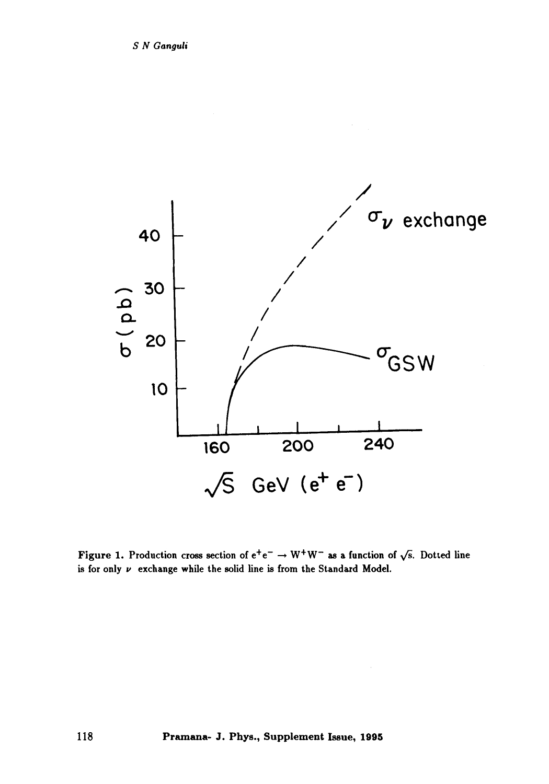

Figure 1. Production cross section of  $e^+e^- \rightarrow W^+W^-$  as a function of  $\sqrt{s}$ . Dotted line is for only  $\nu$  exchange while the solid line is from the Standard Model.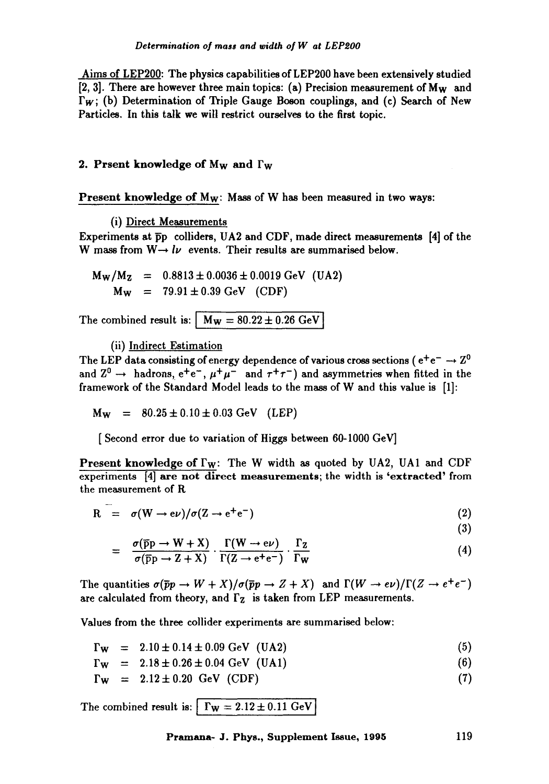Aims of LEP200: The physics capabilities of LEP200 have been extensively studied [2, 3]. There are however three main topics: (a) Precision measurement of Mw and  $\Gamma_W$ ; (b) Determination of Triple Gauge Boson couplings, and (c) Search of New Particles. In this talk we will restrict ourselves to the first topic.

#### **2. Prsent knowledge of M<sub>W</sub> and**  $\Gamma_W$

**Present knowledge of**  $M_W$ **: Mass of W has been measured in two ways:** 

(i) Direct Measurements

Experiments at Fp colliders, UA2 and CDF, made direct measurements [4] of the W mass from  $W \rightarrow l\nu$  events. Their results are summarised below.

 $M_W/M_Z$  = 0.8813  $\pm$  0.0036  $\pm$  0.0019 GeV (UA2)  $M_{W}$  = 79.91  $\pm$  0.39 GeV (CDF)

The combined result is:  $M_{\rm W} = 80.22 \pm 0.26$  GeV

(ii) Indirect Estimation

The LEP data consisting of energy dependence of various cross sections ( $e^+e^- \rightarrow Z^0$ and  $Z^0 \rightarrow$  hadrons,  $e^+e^-$ ,  $\mu^+\mu^-$  and  $\tau^+\tau^-$ ) and asymmetries when fitted in the framework of the Standard Model leads to the mass of W and this value is [1]:

 $M_{W}$  = 80.25  $\pm$  0.10  $\pm$  0.03 GeV (LEP)

[ Second error due to variation of Higgs between 60-1000 GeV]

**Present knowledge of**  $\Gamma_W$ **:** The W width as quoted by UA2, UA1 and CDF experiments [4] are not direct measurements; the width is 'extracted' from the measurement of R

$$
R = \sigma(W \to e\nu)/\sigma(Z \to e^+e^-) \tag{2}
$$

(3)

$$
= \frac{\sigma(\overline{p}p \to W + X)}{\sigma(\overline{p}p \to Z + X)} \cdot \frac{\Gamma(W \to e\nu)}{\Gamma(Z \to e^+e^-)} \cdot \frac{\Gamma_Z}{\Gamma_W}
$$
(4)

The quantities  $\sigma(\bar{p}p \to W + X)/\sigma(\bar{p}p \to Z + X)$  and  $\Gamma(W \to e\nu)/\Gamma(Z \to e^+e^-)$ are calculated from theory, and  $\Gamma$ <sub>z</sub> is taken from LEP measurements.

Values from the three collider experiments are summarised below:

$$
\Gamma_W = 2.10 \pm 0.14 \pm 0.09 \text{ GeV} \text{ (UA2)} \tag{5}
$$

 $\Gamma_W = 2.18 \pm 0.26 \pm 0.04$  GeV (UA1) (6)

$$
\Gamma_W = 2.12 \pm 0.20 \text{ GeV (CDF)} \tag{7}
$$

The combined result is:  $\Gamma_W = 2.12 \pm 0.11$  GeV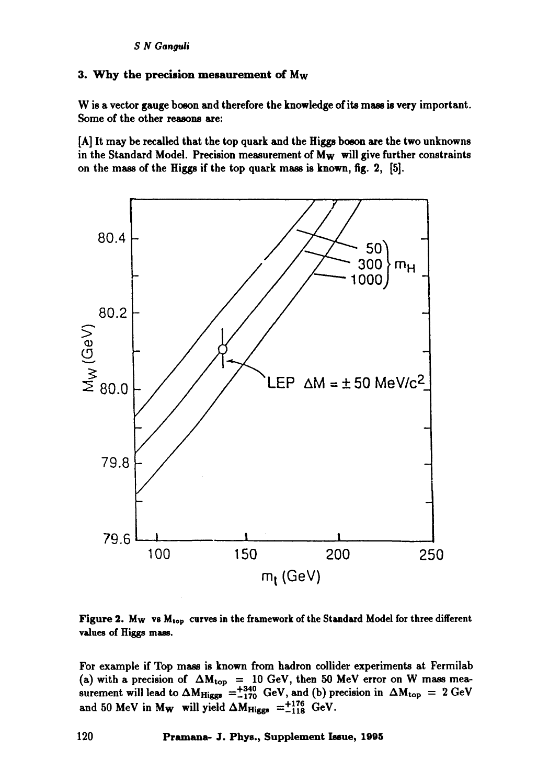# 3. Why the precision mesaurement of Mw

W is a vector gauge boson and therefore the knowledge of its mass is very important. Some of the other reasons are:

[A] It may be recalled that the top quark and the Higgs boson are the two unknowns in the Standard Model. Precision measurement of  $M_W$  will give further constraints on the mass of the Higgs if the top quark mass is known, fig. 2, [5].



Figure 2. Mw vs M<sub>top</sub> curves in the framework of the Standard Model for three different values of Higgs mass.

For example if Top mass is known from hadron collider experiments at Fermilab (a) with a precision of  $\Delta M_{top} = 10$  GeV, then 50 MeV error on W mass measurement will lead to  $\Delta M_{Higgs} = +340^{\circ}$  GeV, and (b) precision in  $\Delta M_{top} = 2$  GeV and 50 MeV in M<sub>W</sub> will yield  $\Delta M_{Higgs} = ^{+176}_{-118}$  GeV.

**120 Pramana- J. Phys., Supplement Issue, 1905**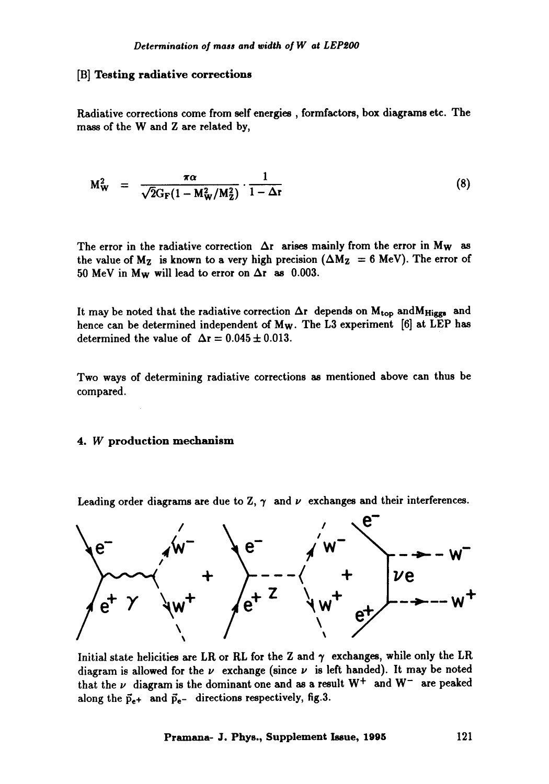#### [B] Testing radiative corrections

Radiative corrections come from self energies, formfactors, box diagrams etc. The mass of the W and Z are related by,

$$
M_W^2 = \frac{\pi \alpha}{\sqrt{2} G_F (1 - M_W^2 / M_Z^2)} \cdot \frac{1}{1 - \Delta r}
$$
 (8)

The error in the radiative correction  $\Delta r$  arises mainly from the error in M<sub>W</sub> as the value of  $M_Z$  is known to a very high precision ( $\Delta M_Z = 6$  MeV). The error of 50 MeV in M<sub>W</sub> will lead to error on  $\Delta r$  as 0.003.

It may be noted that the radiative correction  $\Delta r$  depends on  $M_{\text{top}}$  and  $M_{\text{Higgs}}$  and hence can be determined independent of  $M_W$ . The L3 experiment [6] at LEP has determined the value of  $\Delta r = 0.045 \pm 0.013$ .

Two ways of determining radiative corrections as mentioned above can thus be compared.

#### 4. W production mechanism

Leading order diagrams are due to Z,  $\gamma$  and  $\nu$  exchanges and their interferences.



Initial state helicities are LR or RL for the Z and  $\gamma$  exchanges, while only the LR diagram is allowed for the  $\nu$  exchange (since  $\nu$  is left handed). It may be noted that the  $\nu$  diagram is the dominant one and as a result  $W^+$  and  $W^-$  are peaked along the  $\vec{p}_{e+}$  and  $\vec{p}_{e-}$  directions respectively, fig.3.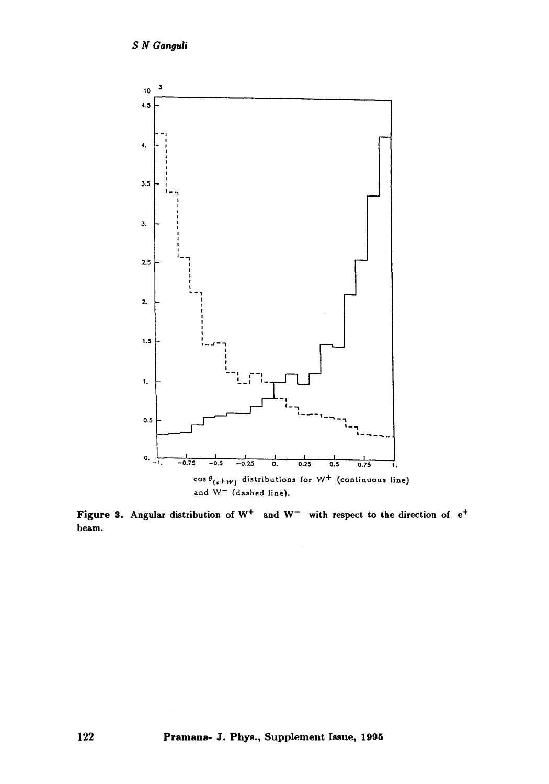

**Figure 3.** Angular distribution of  $W^+$  and  $W^-$  with respect to the direction of  $e^+$ **beam.**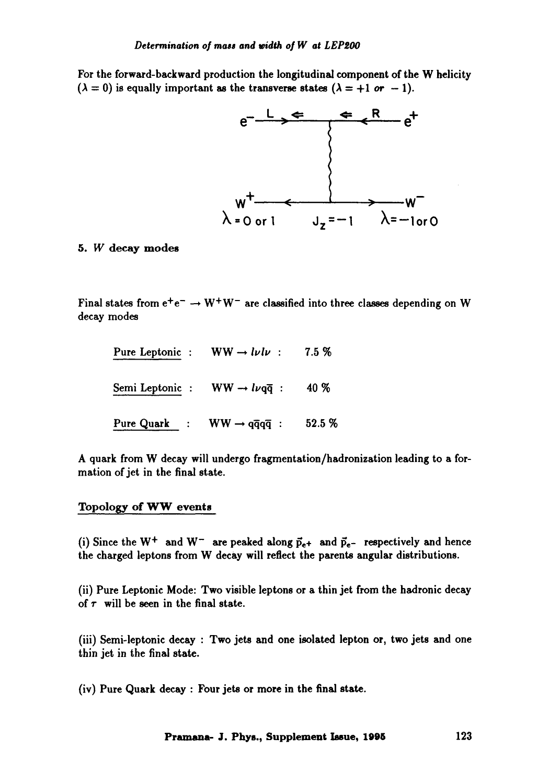For the forward-backward production the longitudinal component of the W helicity  $(\lambda = 0)$  is equally important as the transverse states  $(\lambda = +1$  or  $-1)$ .



# 5. W decay modes

Final states from  $e^+e^- \rightarrow W^+W^-$  are classified into three classes depending on W decay modes

| Pure Leptonic : $WW \rightarrow l\nu l\nu$ :          | $7.5\%$ |
|-------------------------------------------------------|---------|
| Semi Leptonic : WW $\rightarrow l\nu q\overline{q}$ : | 40 %    |
| Pure Quark : $WW \rightarrow q\bar{q}q\bar{q}$ :      | 52.5 %  |

A quark from W decay will undergo fragmentation/hadronization leading to a formation of jet in the final state.

#### Topology of WW events

(i) Since the  $W^+$  and  $W^-$  are peaked along  $\vec{p}_{e+}$  and  $\vec{p}_{e-}$  respectively and hence the charged leptons from W decay will reflect the parents angular distributions.

(ii) Pure Leptonic Mode: Two visible leptons or a thin jet from the hadronic decay of  $\tau$  will be seen in the final state.

(iii) Semi-leptonic decay : Two jets and one isolated lepton or, two jets and one thin jet in the final state.

(iv) Pure Quark decay : Four jets or more in the final state.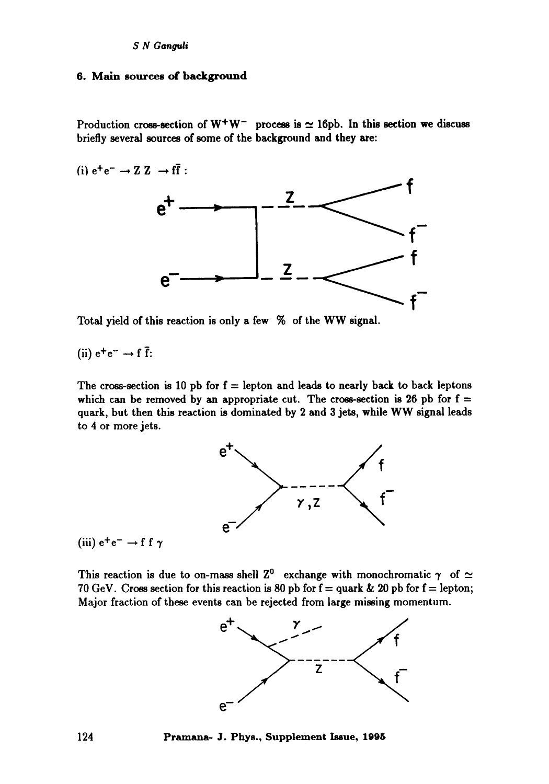# 6. Main sources of background

Production cross-section of  $W^+W^-$  process is  $\simeq 16$ pb. In this section we discuss briefly several sources of some of the background and they are:

(i)  $e^+e^- \rightarrow Z Z \rightarrow f\bar{f}$ :



**Total** yield of this reaction is only a few % of the WW signal.

(ii) 
$$
e^+e^- \rightarrow f \bar{f}
$$
:

The cross-section is 10 pb for  $f =$  lepton and leads to nearly back to back leptons which can be removed by an appropriate cut. The cross-section is 26 pb for  $f =$ quark, but then this reaction is dominated by 2 and 3 jets, while WW signal leads to 4 or more jets.



(iii)  $e^+e^- \rightarrow f f \gamma$ 

This reaction is due to on-mass shell  $Z^0$  exchange with monochromatic  $\gamma$  of  $\simeq$ 70 GeV. Cross section for this reaction is 80 pb for  $f =$  quark & 20 pb for  $f =$  lepton; Major fraction of these events can be rejected from large missing momentum.



**124 Pramana- J. Phys., Supplement Issue, 1096**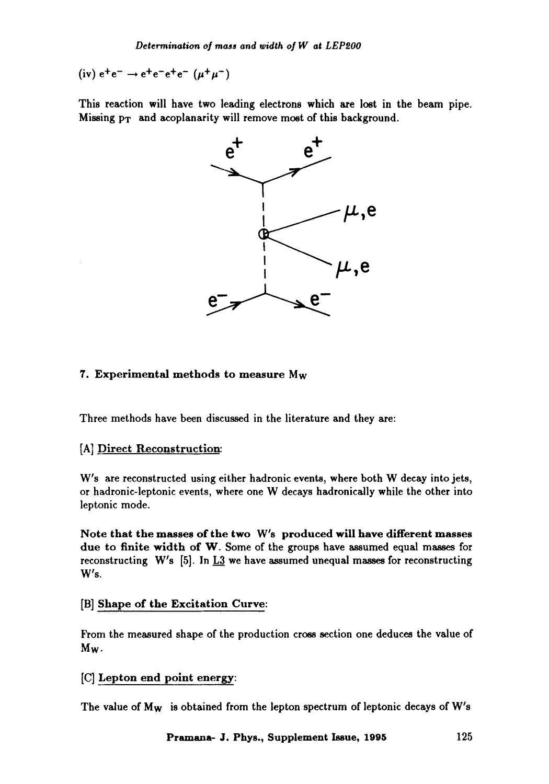(iv)  $e^+e^- \rightarrow e^+e^-e^+e^- (\mu^+\mu^-)$ 

This reaction will have two leading electrons which are lost in the beam pipe. Missing  $p_T$  and acoplanarity will remove most of this background.



#### 7. Experimental methods to measure Mw

Three methods have been discussed in the literature and they are:

#### [A] Direct Reconstruction:

W's are reconstructed using either hadronic events, where both W decay into jets, or hadronic-leptonic events, where one W decays hadronicaily while the other into leptonic mode.

Note that the masses of the two W's produced will have different masses due to finite width of W. Some of the groups have assumed equal masses for reconstructing W's [5]. In  $\underline{\mathbf{L}3}$  we have assumed unequal masses for reconstructing  $W's.$ 

#### [B] Shape of the Excitation Curve:

From the measured shape of the production cross section one deduces the value of Mw.

[C] Lepton end point energy:

The value of  $M_W$  is obtained from the lepton spectrum of leptonic decays of  $W's$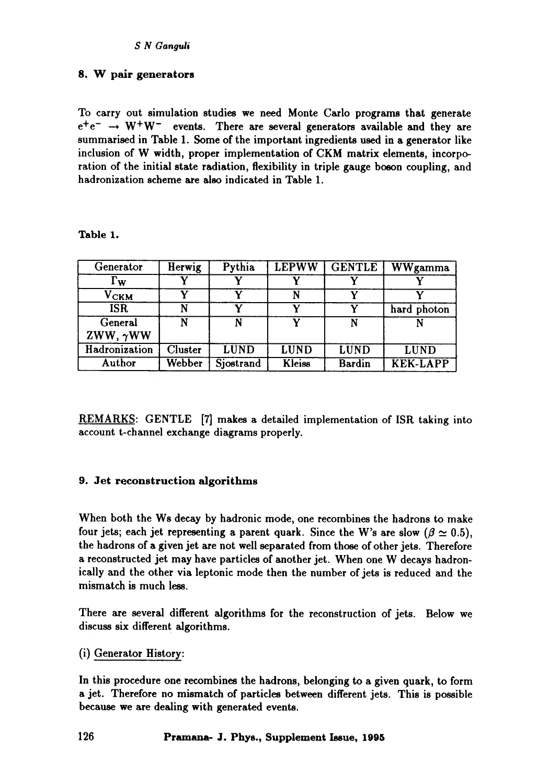# 8. W pair generators

To carry out simulation studies we need Monte Carlo programs that generate  $e^+e^- \rightarrow W^+W^-$  events. There are several generators available and they are summarised in Table 1. Some of the important ingredients used in a generator like inclusion of W width, proper implementation of CKM matrix elements, incorporation of the initial state radiation, flexibility in triple gauge boson coupling, and hadronization scheme are also indicated in Table 1.

# **Table** 1.

| Generator             | Herwig  | Pythia      | <b>LEPWW</b>  | <b>GENTLE</b> | <b>WWgamma</b>  |
|-----------------------|---------|-------------|---------------|---------------|-----------------|
| $\Gamma_{\mathbf{W}}$ |         |             |               |               |                 |
| ${\rm v_{\rm CKM}}$   |         |             |               |               |                 |
| <b>ISR</b>            |         |             |               |               | hard photon     |
| General               | N       | N           |               | N             |                 |
| ZWW, $\gamma$ WW      |         |             |               |               |                 |
| Hadronization         | Cluster | <b>LUND</b> | <b>LUND</b>   | <b>LUND</b>   | <b>LUND</b>     |
| Author                | Webber  | Sjostrand   | <b>Kleiss</b> | <b>Bardin</b> | <b>KEK-LAPP</b> |

REMARKS: GENTLE [7] makes a detailed implementation of ISR taking into account t-channel exchange diagrams properly.

# **9. Jet reconstruction algorithms**

When both the Ws decay by hadronic mode, one recombines the hadrons to make four jets; each jet representing a parent quark. Since the W's are slow ( $\beta \simeq 0.5$ ), the hadrons of a given jet are not well separated from those of other jets. Therefore a reconstructed jet may have particles of another jet. When one W decays hadronically and the other via leptonic mode then the number of jets is reduced and the mismatch is much less.

There are several different algorithms for the reconstruction of jets. Below we discuss six different algorithms.

(i) Generator History:

In this procedure one recombines the hadrons, belonging to a given quark, to form a jet. Therefore no mismatch of particles between different jets. This is possible because we are dealing with generated events.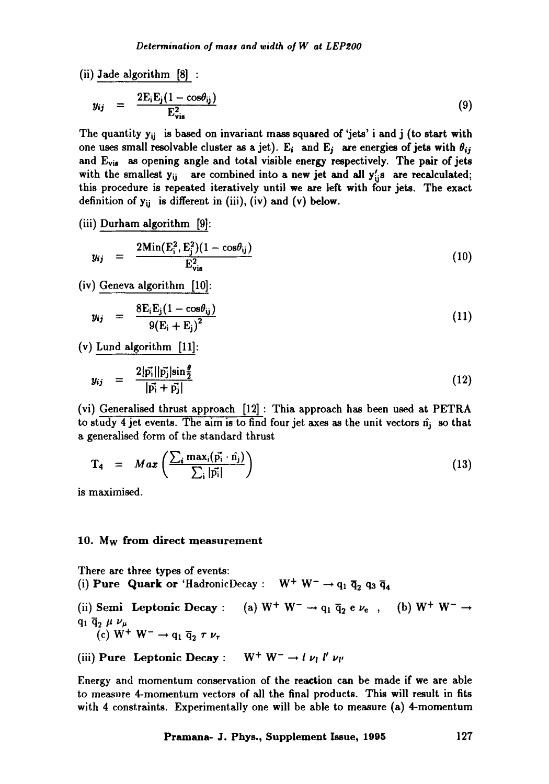(ii) Jade algorithm [8] :

$$
y_{ij} = \frac{2E_i E_j (1 - \cos \theta_{ij})}{E_{vis}^2}
$$
 (9)

The quantity  $y_{ij}$  is based on invariant mass squared of 'jets' i and j (to start with one uses small resolvable cluster as a jet). E<sub>i</sub> and E<sub>j</sub> are energies of jets with  $\theta_{ij}$ and E<sub>vis</sub> as opening angle and total visible energy respectively. The pair of jets with the smallest  $y_{ij}$  are combined into a new jet and all  $y'_{ij}$ s are recalculated; this procedure is repeated iteratively until we are left with four jets. The exact definition of  $y_{ij}$  is different in (iii), (iv) and (v) below.

(iii) Durham algorithm [9]:

$$
y_{ij} = \frac{2\text{Min}(E_i^2, E_j^2)(1 - \cos\theta_{ij})}{E_{vis}^2}
$$
 (10)

(iv) Geneva algorithm [10]:

$$
y_{ij} = \frac{8E_iE_j(1 - \cos\theta_{ij})}{9(E_i + E_j)^2}
$$
(11)

(v) Lund algorithm [11]:

$$
y_{ij} = \frac{2|\vec{p_i}||\vec{p_j}|\sin{\frac{\theta}{2}}}{|\vec{p_i} + \vec{p_j}|}
$$
(12)

(vi) Generalised thrust approach [12] : Thia approach has been used at PETRA to study 4 jet events. The aim is to find four jet axes as the unit vectors  $\hat{n}_j$  so that a generalised form of the standard thrust

$$
T_4 = Max \left( \frac{\sum_i max_i (\vec{p_i} \cdot \hat{n_j})}{\sum_i |\vec{p_i}|} \right) \tag{13}
$$

is maximised.

#### 10. Mw from direct measurement

There are three types of events: (i) Pure Quark or 'HadronicDecay :  $W^+ W^- \rightarrow q_1 \bar{q}_2 q_3 \bar{q}_4$ (ii) Semi Leptonic Decay : (a)  $W^+ W^- \rightarrow q_1 \overline{q}_2 e \nu_e$ , (b)  $W^+ W^- \rightarrow$  $\mathbf{q}_1 \overline{\mathbf{q}}_2$   $\mu$   $\nu_{\mu}$ 

(c)  $W^+ W^- \rightarrow q_1 \overline{q}_2 \tau \nu_1$ 

(iii) Pure Leptonic Decay :  $W^+ W^- \rightarrow l \nu_l l' \nu_{l'}$ 

Energy and momentum conservation of the reaction can be made if we are able to measure 4-momentum vectors of all the final products. This will result in fits with 4 constraints. Experimentally one will be able to measure (a) 4-momentum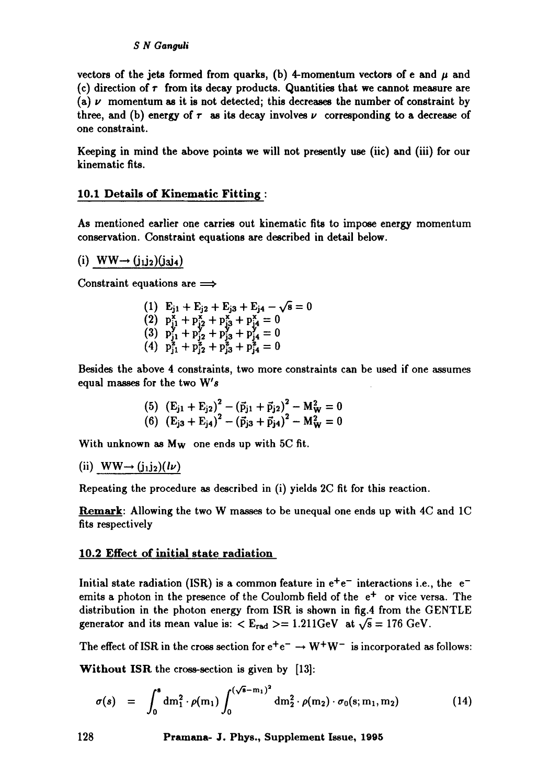#### *S N Gangull*

vectors of the jets formed from quarks, (b) 4-momentum vectors of e and  $\mu$  and (c) direction of  $\tau$  from its decay products. Quantities that we cannot measure are (a)  $\nu$  momentum as it is not detected; this decreases the number of constraint by three, and (b) energy of  $\tau$  as its decay involves  $\nu$  corresponding to a decrease of one constraint.

Keeping in mind the above points we will not presently use (iic) and (iii) for our kinematic fits.

# **10.1 Details of Kinematic Fitting :**

As mentioned earlier one carries out kinematic fits to impose energy momentum conservation. Constraint equations are described in detail below.

(i)  $WW \rightarrow (j_1j_2)(j_3j_4)$ 

Constraint equations are  $\implies$ 

(1)  $E_{j1} + E_{j2} + E_{j3} + E_{j4} - \sqrt{s} = 0$  $+ p_{i2}^{\mathbf{x}} + p_{i3}^{\mathbf{x}} + p_{i4}^{\mathbf{x}} = 0$ (3)  $p_{j1}^2 + p_{j2}^2 + p_{j3}^2 + p_{j4}^2 = 0$ (4)  $p_{i1}^z + p_{i2}^z + p_{i3}^z + p_{i4}^z = 0$ 

Besides the above 4 constraints, two more constraints can be used if one assumes equal masses for the two W's

(5) 
$$
(E_{j1} + E_{j2})^2 - (\vec{p}_{j1} + \vec{p}_{j2})^2 - M_W^2 = 0
$$
  
(6)  $(E_{j3} + E_{j4})^2 - (\vec{p}_{j3} + \vec{p}_{j4})^2 - M_W^2 = 0$ 

With unknown as M<sub>w</sub> one ends up with 5C fit.

(ii)  $WW \rightarrow (j_1 j_2)(l\nu)$ 

Repeating the procedure as described in (i) yields 2C fit for this reaction.

Remark: Allowing the two W masses to be unequal one ends up with 4C and 1C fits respectively

#### **10.2 Effect of initial state radiation**

Initial state radiation (ISR) is a common feature in  $e^+e^-$  interactions i.e., the  $e^$ emits a photon in the presence of the Coulomb field of the  $e<sup>+</sup>$  or vice versa. The distribution in the photon energy from ISR is shown in fig.4 from the GENTLE generator and its mean value is:  $\langle E_{rad} \rangle = 1.211$ GeV at  $\sqrt{s} = 176$  GeV.

The effect of ISR in the cross section for  $e^+e^- \rightarrow W^+W^-$  is incorporated as follows:

Without ISR the cross-section is given by [13]:

$$
\sigma(s) = \int_0^s dm_1^2 \cdot \rho(m_1) \int_0^{(\sqrt{s}-m_1)^2} dm_2^2 \cdot \rho(m_2) \cdot \sigma_0(s; m_1, m_2)
$$
 (14)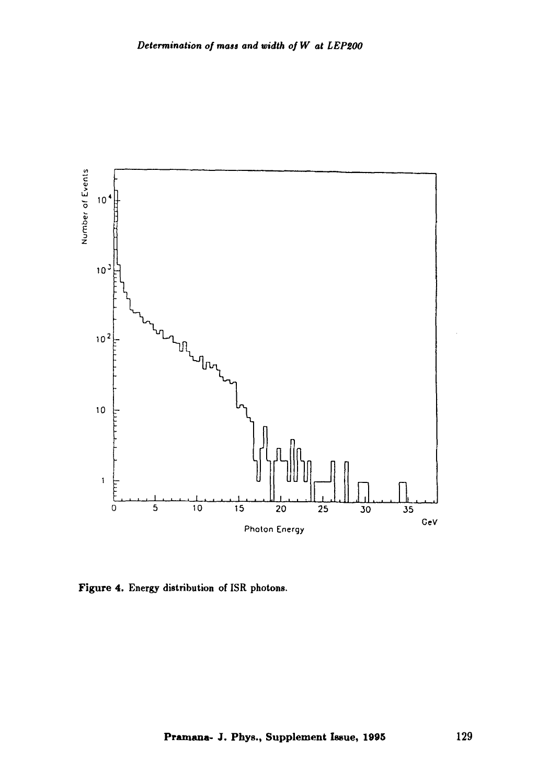

Figure 4. Energy distribution of ISR photons.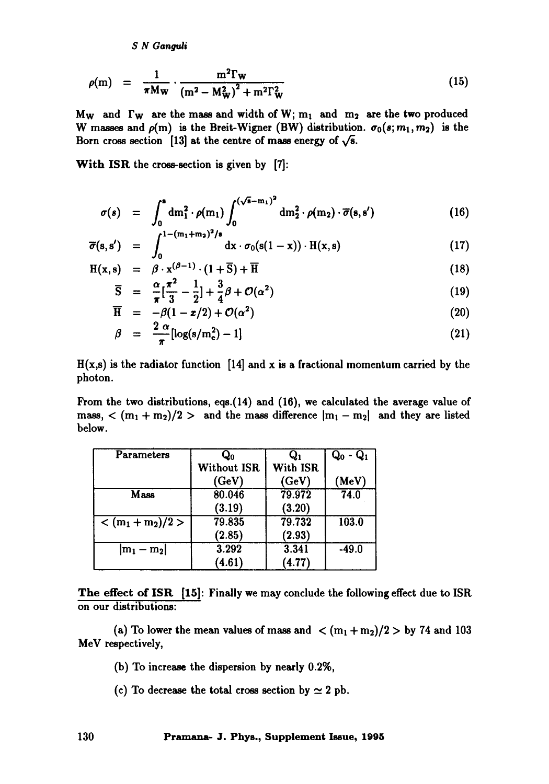*S N Ganguli* 

$$
\rho(m) = \frac{1}{\pi M_W} \cdot \frac{m^2 \Gamma_W}{(m^2 - M_W^2)^2 + m^2 \Gamma_W^2}
$$
\n(15)

Mw and  $\Gamma_W$  are the mass and width of W; m<sub>1</sub> and m<sub>2</sub> are the two produced W masses and  $\rho(m)$  is the Breit-Wigner (BW) distribution.  $\sigma_0(s; m_1, m_2)$  is the Born cross section [13] at the centre of mass energy of  $\sqrt{s}$ .

With ISR the cross-section is given by [7]:

$$
\sigma(s) = \int_0^s dm_1^2 \cdot \rho(m_1) \int_0^{(\sqrt{s}-m_1)^2} dm_2^2 \cdot \rho(m_2) \cdot \overline{\sigma}(s, s')
$$
 (16)

$$
\overline{\sigma}(s,s') = \int_0^{1-(m_1+m_2)^2/s} dx \cdot \sigma_0(s(1-x)) \cdot H(x,s) \qquad (17)
$$

$$
H(x, s) = \beta \cdot x^{(\beta - 1)} \cdot (1 + \overline{S}) + \overline{H}
$$
 (18)

$$
\overline{\mathrm{S}} = \frac{\alpha}{\pi} [\frac{\pi^2}{3} - \frac{1}{2}] + \frac{3}{4}\beta + \mathcal{O}(\alpha^2) \tag{19}
$$

$$
\overline{H} = -\beta(1 - x/2) + \mathcal{O}(\alpha^2)
$$
 (20)

$$
\beta = \frac{2 \alpha}{\pi} [\log(s/m_e^2) - 1] \tag{21}
$$

 $H(x,s)$  is the radiator function [14] and x is a fractional momentum carried by the photon.

From the two distributions, eqs.(14) and (16), we calculated the average value of mass,  $\langle (m_1 + m_2)/2 \rangle$  and the mass difference  $|m_1 - m_2|$  and they are listed below.

| Parameters          | $\mathbf{Q_0}$ |          | $Q_0 - Q_1$ |
|---------------------|----------------|----------|-------------|
|                     | Without ISR    | With ISR |             |
|                     | (GeV)          | (GeV)    | (MeV)       |
| Mass                | 80.046         | 79.972   | 74.0        |
|                     | (3.19)         | (3.20)   |             |
| $< (m_1 + m_2)/2 >$ | 79.835         | 79.732   | 103.0       |
|                     | (2.85)         | (2.93)   |             |
| $ m_1 - m_2 $       | 3.292          | 3.341    | $-49.0$     |
|                     | (4.61)         | (4.77)   |             |

The effect of ISR [15]: Finally we may conclude the following effect due to ISR on our distributions:

(a) To lower the mean values of mass and  $\langle (m_1 + m_2)/2 \rangle$  by 74 and 103 MeV respectively,

(b) To increase the dispersion by nearly 0.2%,

(c) To decrease the total cross section by  $\simeq 2$  pb.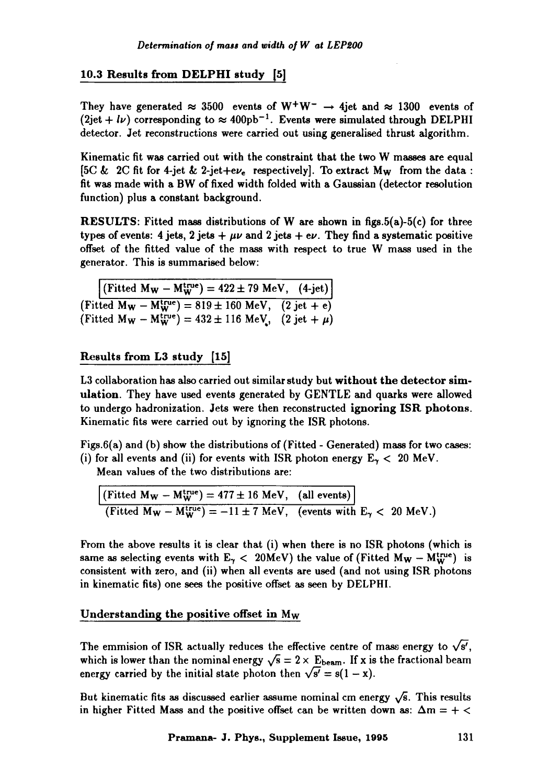# 10.3 Results from DELPHI study [5]

They have generated  $\approx 3500$  events of W<sup>+</sup>W<sup>-</sup>  $\rightarrow$  4jet and  $\approx 1300$  events of  $(2jet + l\nu)$  corresponding to  $\approx 400 \text{pb}^{-1}$ . Events were simulated through DELPHI detector. Jet reconstructions were carried out using generalised thrust algorithm.

Kinematic fit was carried out with the constraint that the two W masses are equal [5C & 2C fit for 4-jet & 2-jet+e $\nu_e$  respectively]. To extract M<sub>W</sub> from the data : fit was made with a BW of fixed width folded with a Gaussian (detector resolution function) plus a constant background.

**RESULTS:** Fitted mass distributions of W are shown in figs.5(a)-5(c) for three types of events: 4 jets, 2 jets  $+\mu\nu$  and 2 jets  $+e\nu$ . They find a systematic positive offset of the fitted value of the mass with respect to true W mass used in the generator. This is summarised below:

 $(\text{Fitted M}_W - M_W^{\text{true}}) = 422 \pm 79 \text{ MeV}, (4\text{-jet})$ (Fitted  $M_W - M_W^{\text{true}} = 819 \pm 160 \text{ MeV},$  (2 jet + e) (Fitted  $M_W - M_W^{\text{true}} = 432 \pm 116 \text{ MeV}$ , (2 jet +  $\mu$ )

# Results from L3 study [15]

L3 collaboration has also carried out similar study but without the detector simulation. They have used events generated by GENTLE and quarks were allowed to undergo hadronization. Jets were then reconstructed ignoring ISR photons. Kinematic fits were carried out by ignoring the ISR photons.

Figs.6(a) and (b) show the distributions of (Fitted - Generated) mass for two cases: (i) for all events and (ii) for events with ISR photon energy  $E_{\gamma}$  < 20 MeV.

Mean values of the two distributions are:

 $\frac{1}{2}$  (Fitted M<sub>W</sub> - M<sup>true</sup>) = 477 ± 16 MeV, (all events) <br>
(Fitted M<sub>W</sub> - M<sup>true</sup>) = -11 ± 7 MeV, (events with E<sub>7</sub> < 20 MeV.)

From the above results it is clear that (i) when there is no ISR photons (which is same as selecting events with  $E_{\gamma}$  < 20MeV) the value of (Fitted M<sub>W</sub> -  $M_{\rm W}^{\rm true}$ ) is consistent with zero, and (ii) when all events are used (and not using ISR photons in kinematic fits) one sees the positive offset as seen by DELPHI.

# Understanding the positive offset in  $M_W$

The emmision of ISR actually reduces the effective centre of mass energy to  $\sqrt{s'}$ , which is lower than the nominal energy  $\sqrt{s} = 2 \times E_{\text{beam}}$ . If x is the fractional beam energy carried by the initial state photon then  $\sqrt{s'} = s(1 - x)$ .

But kinematic fits as discussed earlier assume nominal cm energy  $\sqrt{s}$ . This results in higher Fitted Mass and the positive offset can be written down as:  $\Delta m = +$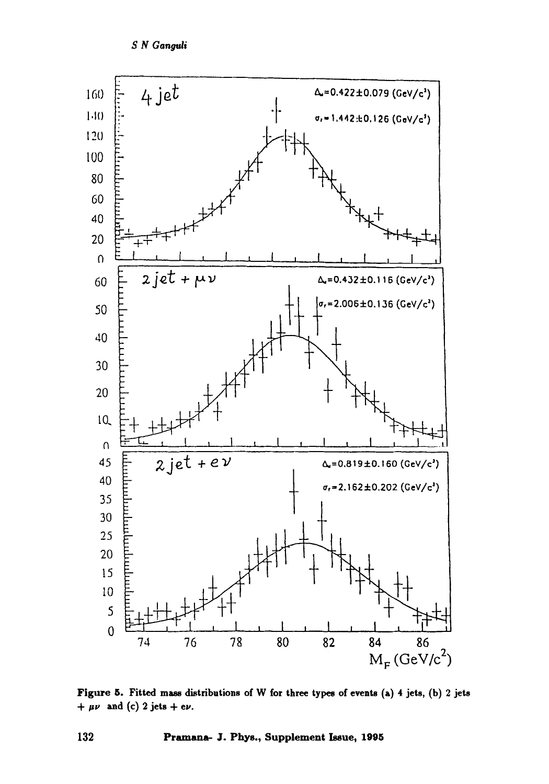

Figure 5. Fitted mass distributions of W for three types of events (a) 4 jets, (b) 2 jets +  $\mu\nu$  and (c) 2 jets + e $\nu$ .

132 Pramana- J. Phys., Supplement Issue, 1995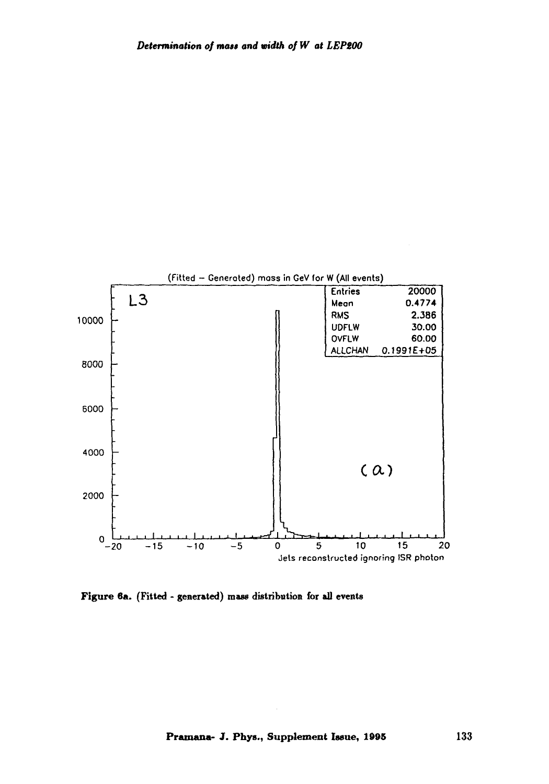

**Figure 6a. (Fitted - generated) mass distribution for all events**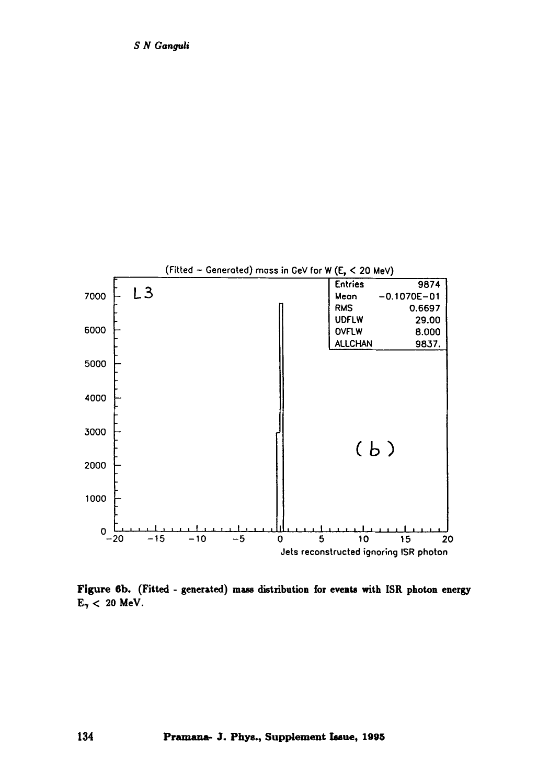

**Figure 6b. (Fitted - generated) mass distribution for events with ISR photon energy**   $E_{\gamma}$  < 20 MeV.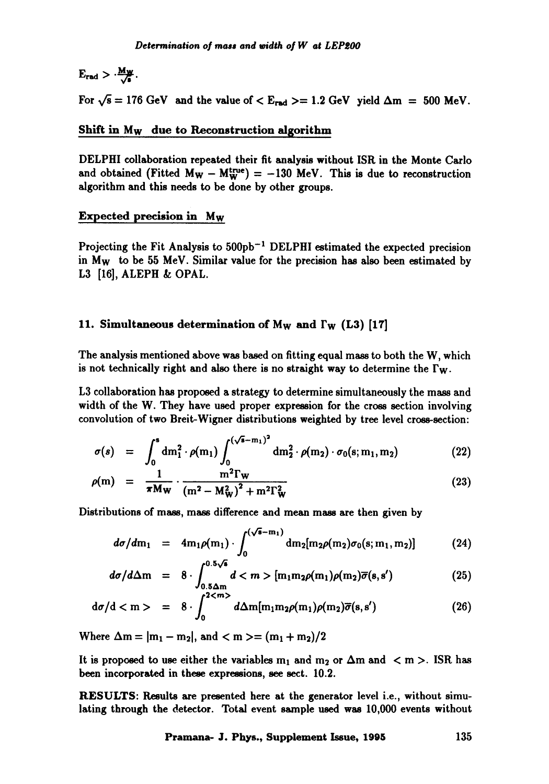# $E_{rad} > \frac{Mw}{\sqrt{2}}$ .

For  $\sqrt{s} = 176$  GeV and the value of  $\lt E_{rad} \gt = 1.2$  GeV yield  $\Delta m = 500$  MeV.

#### Shift in Mw due to Reconstruction algorithm

DELPHI collaboration repeated their fit analysis without ISR in the Monte Carlo and obtained (Fitted  $M_W - M_W^{true} = -130$  MeV. This is due to reconstruction algorithm and this needs to be done by other groups.

#### Expected precision in Mw

Projecting the Fit Analysis to  $500pb^{-1}$  DELPHI estimated the expected precision in  $M_W$  to be 55 MeV. Similar value for the precision has also been estimated by L3 [16], ALEPH & OPAL.

#### 11. Simultaneous determination of M<sub>W</sub> and  $\Gamma_W$  (L3) [17]

The analysis mentioned above was based on fitting equal mass to both the W, which is not technically right and also there is no straight way to determine the  $\Gamma_{w}$ .

L3 collaboration has proposed a strategy to determine simultaneously the mass and width of the W. They have used proper expression for the cross section involving convolution of two Breit-Wigner distributions weighted by tree level cross-section:

$$
\sigma(s) = \int_0^s dm_1^2 \cdot \rho(m_1) \int_0^{(\sqrt{s}-m_1)^2} dm_2^2 \cdot \rho(m_2) \cdot \sigma_0(s; m_1, m_2)
$$
 (22)

$$
\rho(m) = \frac{1}{\pi M w} \cdot \frac{m^2 \Gamma w}{\left(m^2 - M_W^2\right)^2 + m^2 \Gamma_W^2}
$$
\n(23)

Distributions of mass, mass difference and mean mass are then given by

$$
d\sigma/dm_1 = 4m_1\rho(m_1) \cdot \int_0^{(\sqrt{6}-m_1)} dm_2[m_2\rho(m_2)\sigma_0(s; m_1, m_2)] \qquad (24)
$$

$$
d\sigma/d\Delta m = 8 \cdot \int_{0.5\Delta m}^{0.5\sqrt{s}} d < m > [m_1 m_2 \rho(m_1) \rho(m_2) \overline{\sigma}(s, s') \tag{25}
$$

$$
d\sigma/d < m > = 8 \cdot \int_0^{2 < m} d\Delta m[m_1 m_2 \rho(m_1) \rho(m_2) \overline{\sigma}(s, s')) \tag{26}
$$

Where  $\Delta m = |m_1 - m_2|$ , and  $\langle m \rangle = (m_1 + m_2)/2$ 

It is proposed to use either the variables  $m_1$  and  $m_2$  or  $\Delta m$  and  $\langle m \rangle$ . ISR has been incorporated in these expressions, see sect. 10.2.

RESULTS: Results are presented here at the generator level i.e., without simulating through the detector. Total event sample used was 10,000 events without

**Pramana- J. Phys., Supplement Issue, 1995** 135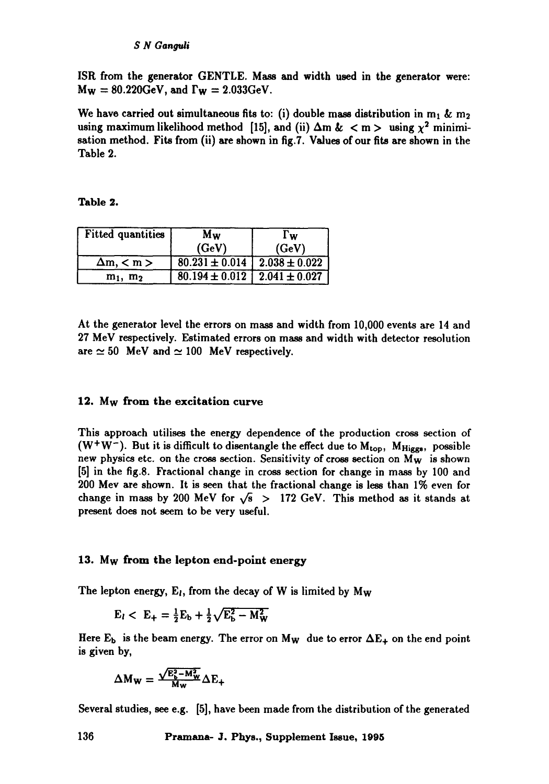ISR from the generator GENTLE. Mass and width used in the generator were:  $M_W = 80.220$ GeV, and  $\Gamma_W = 2.033$ GeV.

We have carried out simultaneous fits to: (i) double mass distribution in  $m_1$  &  $m_2$ using maximum likelihood method [15], and (ii)  $\Delta m \< m > \text{ using } \chi^2 \text{ minimum}$ sation method. Fits from (ii) are shown in fig.?. Values of our fits are shown in the Table 2.

**Table** 2.

| Fitted quantities  | Mw                                     | l w                                               |  |
|--------------------|----------------------------------------|---------------------------------------------------|--|
|                    | (GeV)                                  | (GeV)                                             |  |
| $\Delta m, \leq m$ | $80.231 \pm 0.014$   $2.038 \pm 0.022$ |                                                   |  |
| $m_1$ , $m_2$      |                                        | $\overline{80.194 \pm 0.012}$   2.041 $\pm$ 0.027 |  |

At the generator level the errors on mass and width from 10,000 events are 14 and 27 MeV respectively. Estimated errors on mass and width with detector resolution are  $\simeq 50$  MeV and  $\simeq 100$  MeV respectively.

#### 12. Mw from the excitation curve

This approach utilises the energy dependence of the production cross section of (W<sup>+</sup>W<sup>-</sup>). But it is difficult to disentangle the effect due to  $M_{top}$ ,  $M_{Higgs}$ , possible new physics etc. on the cross section. Sensitivity of cross section on  $M_W$  is shown [5] in the fig.8. Fractional change in cross section for change in mass by 100 and 200 Mev are shown. It is seen that the fractional change is less than 1% even for change in mass by 200 MeV for  $\sqrt{s}$  > 172 GeV. This method as it stands at present does not seem to be very useful.

#### 13. Mw from the lepton end-point energy

The lepton energy,  $E_l$ , from the decay of W is limited by  $M_W$ 

$$
E_l < E_+ = \frac{1}{2}E_b + \frac{1}{2}\sqrt{E_b^2 - M_W^2}
$$

Here  $E_b$  is the beam energy. The error on M<sub>W</sub> due to error  $\Delta E_+$  on the end point is given by,

$$
\Delta M_W = \frac{\sqrt{E_b^2 - M_W^2}}{M_W} \Delta E_+
$$

Several studies, see e.g. [5], have been made from the distribution of the generated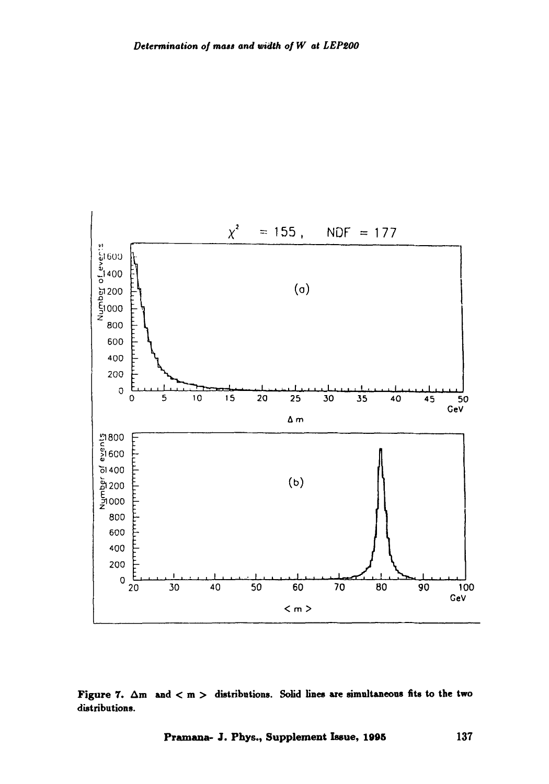

Figure 7.  $\Delta m$  and  $< m >$  distributions. Solid lines are simultaneous fits to the two **distributions.**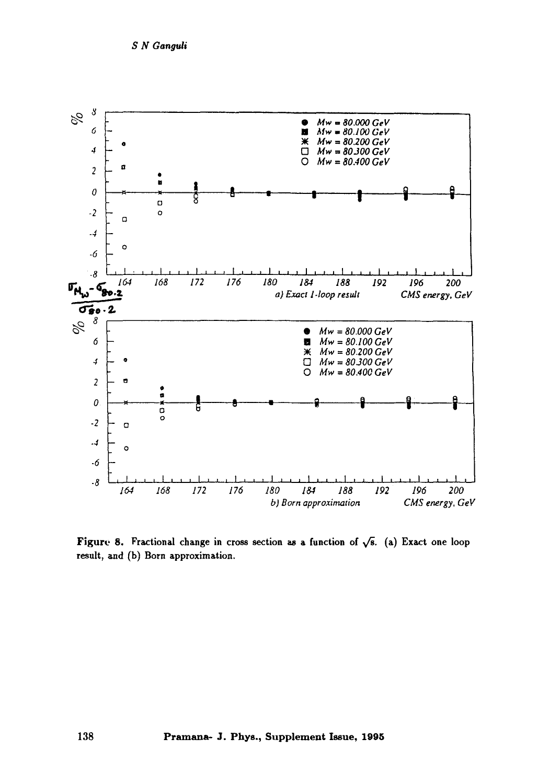

Figure 8. Fractional change in cross section as a function of  $\sqrt{s}$ . (a) Exact one loop result, and (b) Born approximation.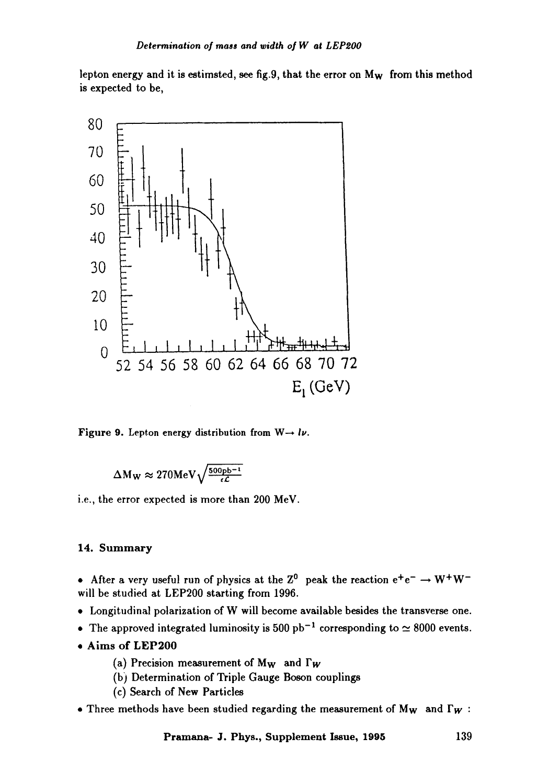lepton energy and it is estimsted, see fig.9, that the error on M<sub>W</sub> from this method is expected to be,



Figure 9. Lepton energy distribution from  $W \rightarrow l\nu$ .

$$
\Delta M_W \approx 270 MeV \sqrt{\frac{500pb^{-1}}{\epsilon \mathcal{L}}}
$$

i.e., the error expected is more than 200 MeV.

### 14. Summary

• After a very useful run of physics at the Z<sup>0</sup> peak the reaction  $e^+e^- \rightarrow W^+W^$ will be studied at LEP200 starting from 1996.

- 9 Longitudinal polarization of W will become available besides the transverse one.
- The approved integrated luminosity is 500 pb<sup>-1</sup> corresponding to  $\simeq 8000$  events.
- **9 Aims of LEP200** 
	- (a) Precision measurement of  $M_W$  and  $\Gamma_W$
	- (b) Determination of Triple Gauge Boson couplings
	- (c) Search of New Particles
- Three methods have been studied regarding the measurement of  $M_W$  and  $\Gamma_W$ :

**Pramana- J. Phys., Supplement Issue, 1995** 139